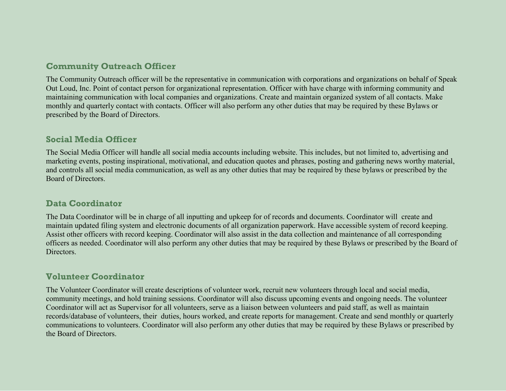# **Community Outreach Officer**

The Community Outreach officer will be the representative in communication with corporations and organizations on behalf of Speak Out Loud, Inc. Point of contact person for organizational representation. Officer with have charge with informing community and maintaining communication with local companies and organizations. Create and maintain organized system of all contacts. Make monthly and quarterly contact with contacts. Officer will also perform any other duties that may be required by these Bylaws or prescribed by the Board of Directors.

#### **Social Media Officer**

The Social Media Officer will handle all social media accounts including website. This includes, but not limited to, advertising and marketing events, posting inspirational, motivational, and education quotes and phrases, posting and gathering news worthy material, and controls all social media communication, as well as any other duties that may be required by these bylaws or prescribed by the Board of Directors.

### **Data Coordinator**

The Data Coordinator will be in charge of all inputting and upkeep for of records and documents. Coordinator will create and maintain updated filing system and electronic documents of all organization paperwork. Have accessible system of record keeping. Assist other officers with record keeping. Coordinator will also assist in the data collection and maintenance of all corresponding officers as needed. Coordinator will also perform any other duties that may be required by these Bylaws or prescribed by the Board of Directors.

# **Volunteer Coordinator**

The Volunteer Coordinator will create descriptions of volunteer work, recruit new volunteers through local and social media, community meetings, and hold training sessions. Coordinator will also discuss upcoming events and ongoing needs. The volunteer Coordinator will act as Supervisor for all volunteers, serve as a liaison between volunteers and paid staff, as well as maintain records/database of volunteers, their duties, hours worked, and create reports for management. Create and send monthly or quarterly communications to volunteers. Coordinator will also perform any other duties that may be required by these Bylaws or prescribed by the Board of Directors.